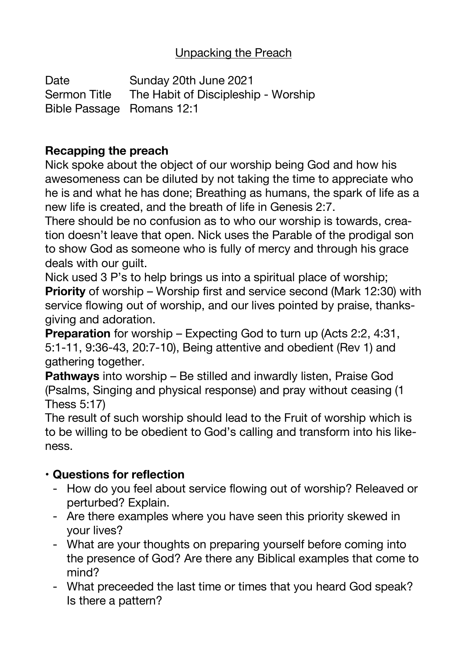## Unpacking the Preach

Date **Sunday 20th June 2021** Sermon Title The Habit of Discipleship - Worship Bible Passage Romans 12:1

### **Recapping the preach**

Nick spoke about the object of our worship being God and how his awesomeness can be diluted by not taking the time to appreciate who he is and what he has done; Breathing as humans, the spark of life as a new life is created, and the breath of life in Genesis 2:7.

There should be no confusion as to who our worship is towards, creation doesn't leave that open. Nick uses the Parable of the prodigal son to show God as someone who is fully of mercy and through his grace deals with our guilt.

Nick used 3 P's to help brings us into a spiritual place of worship; **Priority** of worship – Worship first and service second (Mark 12:30) with service flowing out of worship, and our lives pointed by praise, thanksgiving and adoration.

**Preparation** for worship – Expecting God to turn up (Acts 2:2, 4:31, 5:1-11, 9:36-43, 20:7-10), Being attentive and obedient (Rev 1) and gathering together.

**Pathways** into worship – Be stilled and inwardly listen, Praise God (Psalms, Singing and physical response) and pray without ceasing (1 Thess 5:17)

The result of such worship should lead to the Fruit of worship which is to be willing to be obedient to God's calling and transform into his likeness.

# • **Questions for reflection**

- How do you feel about service flowing out of worship? Releaved or perturbed? Explain.
- Are there examples where you have seen this priority skewed in your lives?
- What are your thoughts on preparing yourself before coming into the presence of God? Are there any Biblical examples that come to mind?
- What preceeded the last time or times that you heard God speak? Is there a pattern?